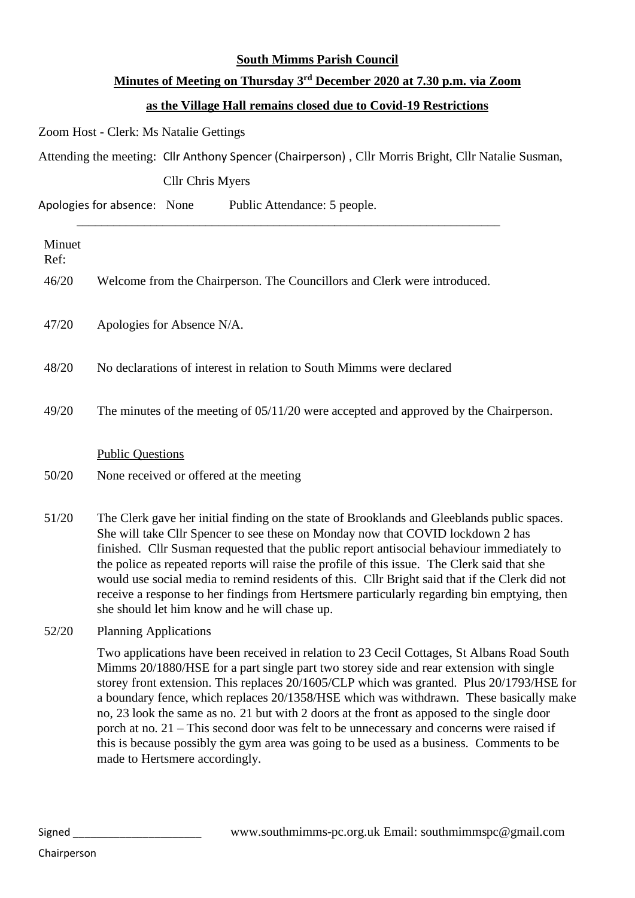## **South Mimms Parish Council**

## **Minutes of Meeting on Thursday 3 rd December 2020 at 7.30 p.m. via Zoom**

## **as the Village Hall remains closed due to Covid-19 Restrictions**

Zoom Host - Clerk: Ms Natalie Gettings

Attending the meeting: Cllr Anthony Spencer (Chairperson) , Cllr Morris Bright, Cllr Natalie Susman,

\_\_\_\_\_\_\_\_\_\_\_\_\_\_\_\_\_\_\_\_\_\_\_\_\_\_\_\_\_\_\_\_\_\_\_\_\_\_\_\_\_\_\_\_\_\_\_\_\_\_\_\_\_\_\_\_\_\_\_\_\_\_\_\_\_\_\_\_\_

Cllr Chris Myers

Apologies for absence: None Public Attendance: 5 people.

| Minuet<br>Ref: |                                                                                                                                                                                                                                                                                                                                                                                                                                                                                                                                                                                                                                |
|----------------|--------------------------------------------------------------------------------------------------------------------------------------------------------------------------------------------------------------------------------------------------------------------------------------------------------------------------------------------------------------------------------------------------------------------------------------------------------------------------------------------------------------------------------------------------------------------------------------------------------------------------------|
| 46/20          | Welcome from the Chairperson. The Councillors and Clerk were introduced.                                                                                                                                                                                                                                                                                                                                                                                                                                                                                                                                                       |
| 47/20          | Apologies for Absence N/A.                                                                                                                                                                                                                                                                                                                                                                                                                                                                                                                                                                                                     |
| 48/20          | No declarations of interest in relation to South Mimms were declared                                                                                                                                                                                                                                                                                                                                                                                                                                                                                                                                                           |
| 49/20          | The minutes of the meeting of 05/11/20 were accepted and approved by the Chairperson.                                                                                                                                                                                                                                                                                                                                                                                                                                                                                                                                          |
|                | <b>Public Questions</b>                                                                                                                                                                                                                                                                                                                                                                                                                                                                                                                                                                                                        |
| 50/20          | None received or offered at the meeting                                                                                                                                                                                                                                                                                                                                                                                                                                                                                                                                                                                        |
| 51/20          | The Clerk gave her initial finding on the state of Brooklands and Gleeblands public spaces.<br>She will take Cllr Spencer to see these on Monday now that COVID lockdown 2 has<br>finished. Cllr Susman requested that the public report antisocial behaviour immediately to<br>the police as repeated reports will raise the profile of this issue. The Clerk said that she<br>would use social media to remind residents of this. Cllr Bright said that if the Clerk did not<br>receive a response to her findings from Hertsmere particularly regarding bin emptying, then<br>she should let him know and he will chase up. |
| 52/20          | <b>Planning Applications</b>                                                                                                                                                                                                                                                                                                                                                                                                                                                                                                                                                                                                   |

Two applications have been received in relation to 23 Cecil Cottages, St Albans Road South Mimms 20/1880/HSE for a part single part two storey side and rear extension with single storey front extension. This replaces 20/1605/CLP which was granted. Plus 20/1793/HSE for a boundary fence, which replaces 20/1358/HSE which was withdrawn. These basically make no, 23 look the same as no. 21 but with 2 doors at the front as apposed to the single door porch at no. 21 – This second door was felt to be unnecessary and concerns were raised if this is because possibly the gym area was going to be used as a business. Comments to be made to Hertsmere accordingly.

Chairperson